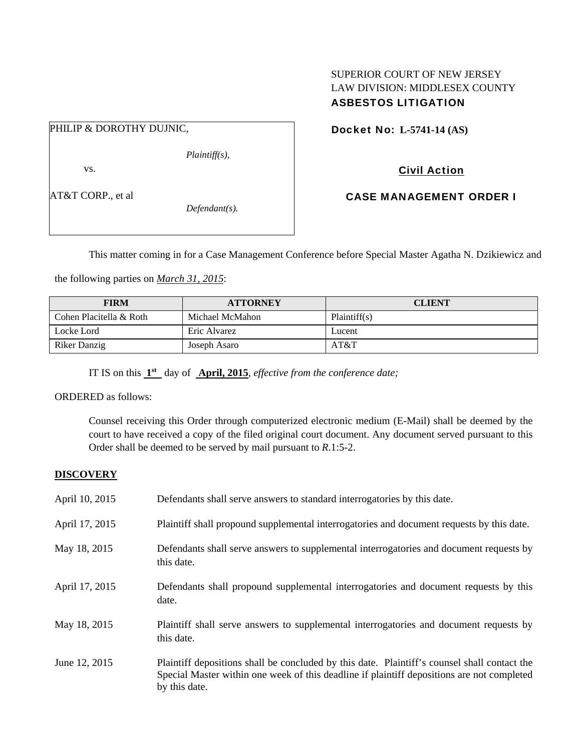# SUPERIOR COURT OF NEW JERSEY LAW DIVISION: MIDDLESEX COUNTY ASBESTOS LITIGATION

### PHILIP & DOROTHY DUJNIC,

vs.

AT&T CORP., et al

*Defendant(s).* 

*Plaintiff(s),* 

Docket No: **L-5741-14 (AS)** 

Civil Action

CASE MANAGEMENT ORDER I

This matter coming in for a Case Management Conference before Special Master Agatha N. Dzikiewicz and

the following parties on *March 31, 2015*:

| <b>FIRM</b>             | <b>ATTORNEY</b> | <b>CLIENT</b> |
|-------------------------|-----------------|---------------|
| Cohen Placitella & Roth | Michael McMahon | Plaintiff(s)  |
| Locke Lord              | Eric Alvarez    | Lucent        |
| Riker Danzig            | Joseph Asaro    | AT&T          |

IT IS on this **1st** day of **April, 2015**, *effective from the conference date;*

ORDERED as follows:

Counsel receiving this Order through computerized electronic medium (E-Mail) shall be deemed by the court to have received a copy of the filed original court document. Any document served pursuant to this Order shall be deemed to be served by mail pursuant to *R*.1:5-2.

## **DISCOVERY**

| April 10, 2015 | Defendants shall serve answers to standard interrogatories by this date.                                                                                                                                    |
|----------------|-------------------------------------------------------------------------------------------------------------------------------------------------------------------------------------------------------------|
| April 17, 2015 | Plaintiff shall propound supplemental interrogatories and document requests by this date.                                                                                                                   |
| May 18, 2015   | Defendants shall serve answers to supplemental interrogatories and document requests by<br>this date.                                                                                                       |
| April 17, 2015 | Defendants shall propound supplemental interrogatories and document requests by this<br>date.                                                                                                               |
| May 18, 2015   | Plaintiff shall serve answers to supplemental interrogatories and document requests by<br>this date.                                                                                                        |
| June 12, 2015  | Plaintiff depositions shall be concluded by this date. Plaintiff's counsel shall contact the<br>Special Master within one week of this deadline if plaintiff depositions are not completed<br>by this date. |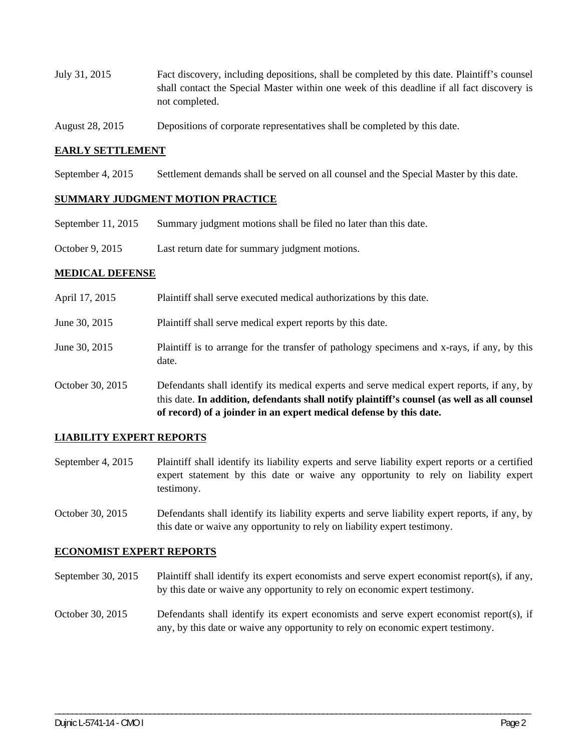- July 31, 2015 Fact discovery, including depositions, shall be completed by this date. Plaintiff's counsel shall contact the Special Master within one week of this deadline if all fact discovery is not completed.
- August 28, 2015 Depositions of corporate representatives shall be completed by this date.

#### **EARLY SETTLEMENT**

September 4, 2015 Settlement demands shall be served on all counsel and the Special Master by this date.

#### **SUMMARY JUDGMENT MOTION PRACTICE**

- September 11, 2015 Summary judgment motions shall be filed no later than this date.
- October 9, 2015 Last return date for summary judgment motions.

#### **MEDICAL DEFENSE**

April 17, 2015 Plaintiff shall serve executed medical authorizations by this date. June 30, 2015 Plaintiff shall serve medical expert reports by this date. June 30, 2015 Plaintiff is to arrange for the transfer of pathology specimens and x-rays, if any, by this date. October 30, 2015 Defendants shall identify its medical experts and serve medical expert reports, if any, by this date. **In addition, defendants shall notify plaintiff's counsel (as well as all counsel of record) of a joinder in an expert medical defense by this date.** 

### **LIABILITY EXPERT REPORTS**

- September 4, 2015 Plaintiff shall identify its liability experts and serve liability expert reports or a certified expert statement by this date or waive any opportunity to rely on liability expert testimony.
- October 30, 2015 Defendants shall identify its liability experts and serve liability expert reports, if any, by this date or waive any opportunity to rely on liability expert testimony.

#### **ECONOMIST EXPERT REPORTS**

- September 30, 2015 Plaintiff shall identify its expert economists and serve expert economist report(s), if any, by this date or waive any opportunity to rely on economic expert testimony.
- October 30, 2015 Defendants shall identify its expert economists and serve expert economist report(s), if any, by this date or waive any opportunity to rely on economic expert testimony.

\_\_\_\_\_\_\_\_\_\_\_\_\_\_\_\_\_\_\_\_\_\_\_\_\_\_\_\_\_\_\_\_\_\_\_\_\_\_\_\_\_\_\_\_\_\_\_\_\_\_\_\_\_\_\_\_\_\_\_\_\_\_\_\_\_\_\_\_\_\_\_\_\_\_\_\_\_\_\_\_\_\_\_\_\_\_\_\_\_\_\_\_\_\_\_\_\_\_\_\_\_\_\_\_\_\_\_\_\_\_